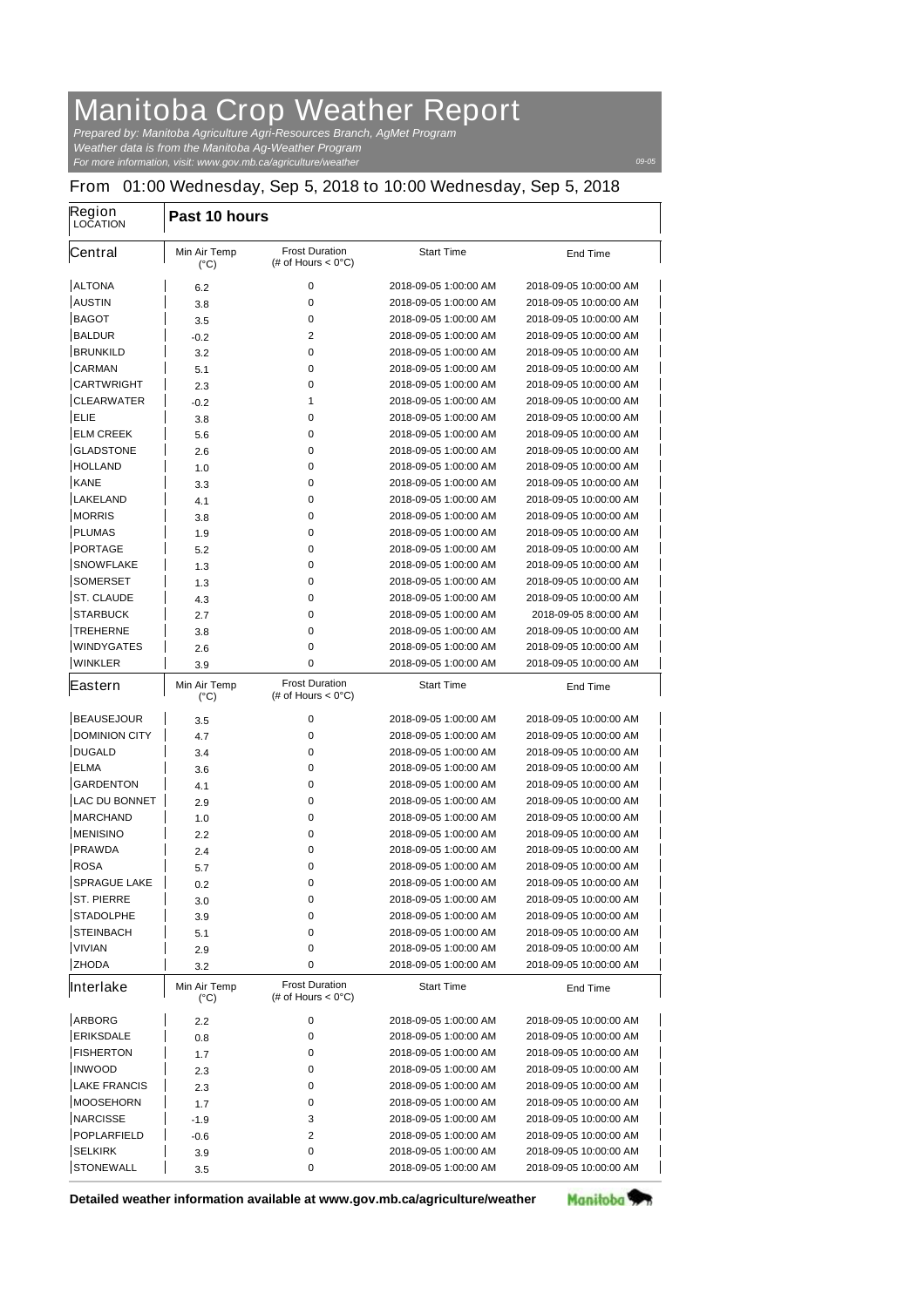## **Manitoba Crop Weather Report**

*For more information, visit: www.gov.mb.ca/agriculture/weather Prepared by: Manitoba Agriculture Agri-Resources Branch, AgMet Program Weather data is from the Manitoba Ag-Weather Program*

*09-05*

## **From 01:00 Wednesday, Sep 5, 2018 to 10:00 Wednesday, Sep 5, 2018**

| <b>Region</b><br><b>LOCATION</b> | Past 10 hours                        |                                                       |                       |                        |  |
|----------------------------------|--------------------------------------|-------------------------------------------------------|-----------------------|------------------------|--|
| Central                          | <b>Min Air Temp</b><br>$(^{\circ}C)$ | <b>Frost Duration</b><br>(# of Hours $< 0^{\circ}$ C) | <b>Start Time</b>     | <b>End Time</b>        |  |
| <b>ALTONA</b>                    | 6.2                                  | 0                                                     | 2018-09-05 1:00:00 AM | 2018-09-05 10:00:00 AM |  |
| <b>AUSTIN</b>                    | 3.8                                  | 0                                                     | 2018-09-05 1:00:00 AM | 2018-09-05 10:00:00 AM |  |
| <b>BAGOT</b>                     | 3.5                                  | 0                                                     | 2018-09-05 1:00:00 AM | 2018-09-05 10:00:00 AM |  |
| <b>BALDUR</b>                    | -0.2                                 | 2                                                     | 2018-09-05 1:00:00 AM | 2018-09-05 10:00:00 AM |  |
| <b>BRUNKILD</b>                  | 3.2                                  | 0                                                     | 2018-09-05 1:00:00 AM | 2018-09-05 10:00:00 AM |  |
| <b>CARMAN</b>                    | 5.1                                  | 0                                                     | 2018-09-05 1:00:00 AM | 2018-09-05 10:00:00 AM |  |
| <b>CARTWRIGHT</b>                | 2.3                                  | 0                                                     | 2018-09-05 1:00:00 AM | 2018-09-05 10:00:00 AM |  |
| <b>CLEARWATER</b>                | -0.2                                 | 1                                                     | 2018-09-05 1:00:00 AM | 2018-09-05 10:00:00 AM |  |
| ELIE                             | 3.8                                  | 0                                                     | 2018-09-05 1:00:00 AM | 2018-09-05 10:00:00 AM |  |
| <b>ELM CREEK</b>                 | 5.6                                  | 0                                                     | 2018-09-05 1:00:00 AM | 2018-09-05 10:00:00 AM |  |
| <b>GLADSTONE</b>                 | 2.6                                  | 0                                                     | 2018-09-05 1:00:00 AM | 2018-09-05 10:00:00 AM |  |
| <b>HOLLAND</b>                   | 1.0                                  | 0                                                     | 2018-09-05 1:00:00 AM | 2018-09-05 10:00:00 AM |  |
| <b>KANE</b>                      | 3.3                                  | 0                                                     | 2018-09-05 1:00:00 AM | 2018-09-05 10:00:00 AM |  |
| <b>LAKELAND</b>                  | 4.1                                  | 0                                                     | 2018-09-05 1:00:00 AM | 2018-09-05 10:00:00 AM |  |
| <b>MORRIS</b>                    | 3.8                                  | 0                                                     | 2018-09-05 1:00:00 AM | 2018-09-05 10:00:00 AM |  |
| <b>PLUMAS</b>                    | 1.9                                  | 0                                                     | 2018-09-05 1:00:00 AM | 2018-09-05 10:00:00 AM |  |
| <b>PORTAGE</b>                   | 5.2                                  | 0                                                     | 2018-09-05 1:00:00 AM | 2018-09-05 10:00:00 AM |  |
| <b>SNOWFLAKE</b>                 | 1.3                                  | 0                                                     | 2018-09-05 1:00:00 AM | 2018-09-05 10:00:00 AM |  |
| <b>SOMERSET</b>                  | 1.3                                  | 0                                                     | 2018-09-05 1:00:00 AM | 2018-09-05 10:00:00 AM |  |
| <b>ST. CLAUDE</b>                | 4.3                                  | 0                                                     | 2018-09-05 1:00:00 AM | 2018-09-05 10:00:00 AM |  |
| <b>STARBUCK</b>                  | 2.7                                  | 0                                                     | 2018-09-05 1:00:00 AM | 2018-09-05 8:00:00 AM  |  |
| <b>TREHERNE</b>                  | 3.8                                  | 0                                                     | 2018-09-05 1:00:00 AM | 2018-09-05 10:00:00 AM |  |
| <b>WINDYGATES</b>                | 2.6                                  | 0                                                     | 2018-09-05 1:00:00 AM | 2018-09-05 10:00:00 AM |  |
| <b>WINKLER</b>                   | 3.9                                  | 0                                                     | 2018-09-05 1:00:00 AM | 2018-09-05 10:00:00 AM |  |
| Eastern                          | <b>Min Air Temp</b><br>$(^{\circ}C)$ | <b>Frost Duration</b><br>(# of Hours $< 0^{\circ}$ C) | <b>Start Time</b>     | <b>End Time</b>        |  |
| <b>BEAUSEJOUR</b>                | 3.5                                  | 0                                                     | 2018-09-05 1:00:00 AM | 2018-09-05 10:00:00 AM |  |
| <b>DOMINION CITY</b>             | 4.7                                  | 0                                                     | 2018-09-05 1:00:00 AM | 2018-09-05 10:00:00 AM |  |
| <b>DUGALD</b>                    | 3.4                                  | 0                                                     | 2018-09-05 1:00:00 AM | 2018-09-05 10:00:00 AM |  |
| <b>ELMA</b>                      | 3.6                                  | 0                                                     | 2018-09-05 1:00:00 AM | 2018-09-05 10:00:00 AM |  |
| <b>GARDENTON</b>                 | 4.1                                  | 0                                                     | 2018-09-05 1:00:00 AM | 2018-09-05 10:00:00 AM |  |
| <b>LAC DU BONNET</b>             | 2.9                                  | 0                                                     | 2018-09-05 1:00:00 AM | 2018-09-05 10:00:00 AM |  |
| <b>MARCHAND</b>                  | 1.0                                  | 0                                                     | 2018-09-05 1:00:00 AM | 2018-09-05 10:00:00 AM |  |
| <b>MENISINO</b>                  | 2.2                                  | 0                                                     | 2018-09-05 1:00:00 AM | 2018-09-05 10:00:00 AM |  |
| <b>PRAWDA</b>                    | 2.4                                  | 0                                                     | 2018-09-05 1:00:00 AM | 2018-09-05 10:00:00 AM |  |
| <b>ROSA</b>                      | 5.7                                  | 0                                                     | 2018-09-05 1:00:00 AM | 2018-09-05 10:00:00 AM |  |
| <b>SPRAGUE LAKE</b>              | 0.2                                  | 0                                                     | 2018-09-05 1:00:00 AM | 2018-09-05 10:00:00 AM |  |
| <b>ST. PIERRE</b>                | 3.0                                  | 0                                                     | 2018-09-05 1:00:00 AM | 2018-09-05 10:00:00 AM |  |
| <b>STADOLPHE</b>                 | 3.9                                  | 0                                                     | 2018-09-05 1:00:00 AM | 2018-09-05 10:00:00 AM |  |
| <b>STEINBACH</b>                 | 5.1                                  | 0                                                     | 2018-09-05 1:00:00 AM | 2018-09-05 10:00:00 AM |  |
| <b>VIVIAN</b>                    | 2.9                                  | 0                                                     | 2018-09-05 1:00:00 AM | 2018-09-05 10:00:00 AM |  |
| <b>ZHODA</b>                     | 3.2                                  | 0                                                     | 2018-09-05 1:00:00 AM | 2018-09-05 10:00:00 AM |  |
| Interlake                        | <b>Min Air Temp</b>                  | <b>Frost Duration</b>                                 | <b>Start Time</b>     | <b>End Time</b>        |  |
|                                  | $(^{\circ}C)$                        | (# of Hours $< 0^{\circ}$ C)                          |                       |                        |  |
| <b>ARBORG</b>                    | 2.2                                  | 0                                                     | 2018-09-05 1:00:00 AM | 2018-09-05 10:00:00 AM |  |
| <b>ERIKSDALE</b>                 | 0.8                                  | 0                                                     | 2018-09-05 1:00:00 AM | 2018-09-05 10:00:00 AM |  |
| <b>FISHERTON</b>                 | 1.7                                  | 0                                                     | 2018-09-05 1:00:00 AM | 2018-09-05 10:00:00 AM |  |
| <b>INWOOD</b>                    | 2.3                                  | 0                                                     | 2018-09-05 1:00:00 AM | 2018-09-05 10:00:00 AM |  |
| <b>LAKE FRANCIS</b>              | 2.3                                  | 0                                                     | 2018-09-05 1:00:00 AM | 2018-09-05 10:00:00 AM |  |
| <b>MOOSEHORN</b>                 | 1.7                                  | 0                                                     | 2018-09-05 1:00:00 AM | 2018-09-05 10:00:00 AM |  |
| <b>NARCISSE</b>                  | -1.9                                 | 3                                                     | 2018-09-05 1:00:00 AM | 2018-09-05 10:00:00 AM |  |
| <b>POPLARFIELD</b>               | -0.6                                 | 2                                                     | 2018-09-05 1:00:00 AM | 2018-09-05 10:00:00 AM |  |
| <b>SELKIRK</b>                   | 3.9                                  | 0                                                     | 2018-09-05 1:00:00 AM | 2018-09-05 10:00:00 AM |  |
| <b>STONEWALL</b>                 | 3.5                                  | 0                                                     | 2018-09-05 1:00:00 AM | 2018-09-05 10:00:00 AM |  |

**Detailed weather information available at www.gov.mb.ca/agriculture/weather**

Manitoba<sup>y</sup>